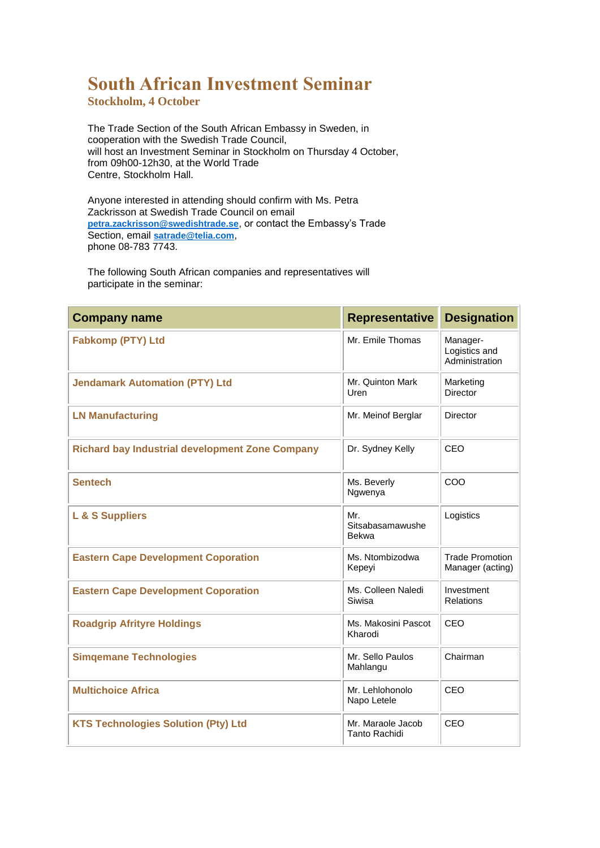## **South African Investment Seminar**

**Stockholm, 4 October**

The Trade Section of the South African Embassy in Sweden, in cooperation with the Swedish Trade Council, will host an Investment Seminar in Stockholm on Thursday 4 October, from 09h00-12h30, at the World Trade Centre, Stockholm Hall.

Anyone interested in attending should confirm with Ms. Petra Zackrisson at Swedish Trade Council on email **[petra.zackrisson@swedishtrade.se](mailto:petra.zackrisson@swedishtrade.se)**, or contact the Embassy's Trade Section, email **[satrade@telia.com](mailto:satrade@telia.com%22)**, phone 08-783 7743.

The following South African companies and representatives will participate in the seminar:

| <b>Company name</b>                                    | <b>Representative</b>               | <b>Designation</b>                          |
|--------------------------------------------------------|-------------------------------------|---------------------------------------------|
| <b>Fabkomp (PTY) Ltd</b>                               | Mr. Emile Thomas                    | Manager-<br>Logistics and<br>Administration |
| <b>Jendamark Automation (PTY) Ltd</b>                  | Mr. Quinton Mark<br>Uren            | Marketing<br><b>Director</b>                |
| <b>LN Manufacturing</b>                                | Mr. Meinof Berglar                  | <b>Director</b>                             |
| <b>Richard bay Industrial development Zone Company</b> | Dr. Sydney Kelly                    | CEO                                         |
| <b>Sentech</b>                                         | Ms. Beverly<br>Ngwenya              | COO                                         |
| L & S Suppliers                                        | Mr.<br>Sitsabasamawushe<br>Bekwa    | Logistics                                   |
| <b>Eastern Cape Development Coporation</b>             | Ms. Ntombizodwa<br>Kepeyi           | <b>Trade Promotion</b><br>Manager (acting)  |
| <b>Eastern Cape Development Coporation</b>             | Ms. Colleen Naledi<br><b>Siwisa</b> | Investment<br><b>Relations</b>              |
| <b>Roadgrip Afrityre Holdings</b>                      | Ms. Makosini Pascot<br>Kharodi      | CEO                                         |
| <b>Simgemane Technologies</b>                          | Mr. Sello Paulos<br>Mahlangu        | Chairman                                    |
| <b>Multichoice Africa</b>                              | Mr. Lehlohonolo<br>Napo Letele      | CEO                                         |
| <b>KTS Technologies Solution (Pty) Ltd</b>             | Mr. Maraole Jacob<br>Tanto Rachidi  | CEO                                         |